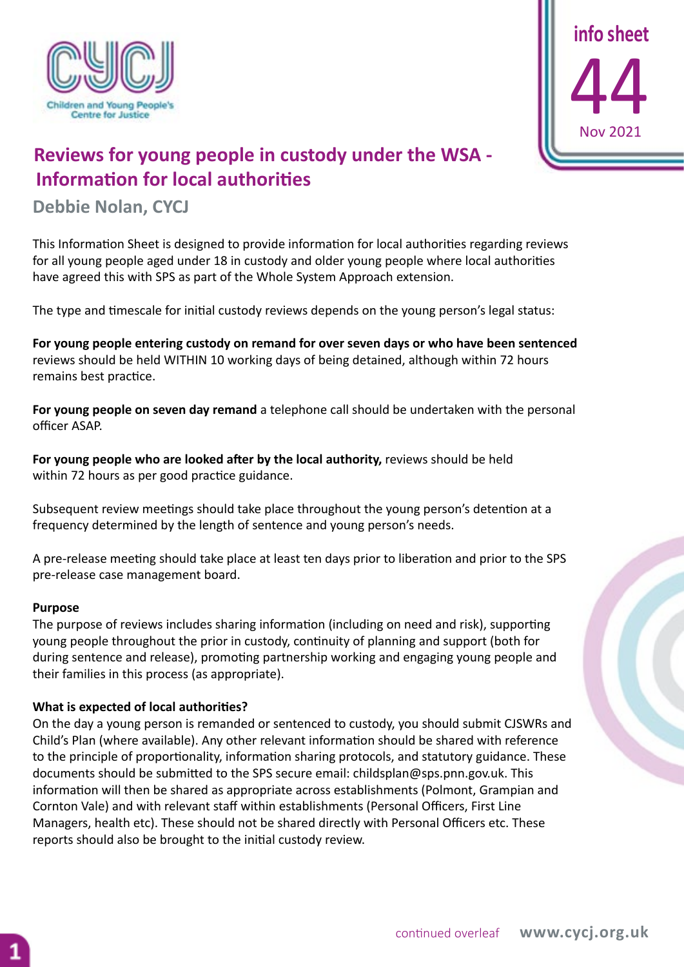



## **Reviews for young people in custody under the WSA - Information for local authorities**

**Debbie Nolan, CYCJ**

This Information Sheet is designed to provide information for local authorities regarding reviews for all young people aged under 18 in custody and older young people where local authorities have agreed this with SPS as part of the Whole System Approach extension.

The type and timescale for initial custody reviews depends on the young person's legal status:

**For young people entering custody on remand for over seven days or who have been sentenced** reviews should be held WITHIN 10 working days of being detained, although within 72 hours remains best practice.

**For young people on seven day remand** a telephone call should be undertaken with the personal officer ASAP.

**For young people who are looked after by the local authority,** reviews should be held within 72 hours as per good practice guidance.

Subsequent review meetings should take place throughout the young person's detention at a frequency determined by the length of sentence and young person's needs.

A pre-release meeting should take place at least ten days prior to liberation and prior to the SPS pre-release case management board.

## **Purpose**

The purpose of reviews includes sharing information (including on need and risk), supporting young people throughout the prior in custody, continuity of planning and support (both for during sentence and release), promoting partnership working and engaging young people and their families in this process (as appropriate).

## **What is expected of local authorities?**

On the day a young person is remanded or sentenced to custody, you should submit CJSWRs and Child's Plan (where available). Any other relevant information should be shared with reference to the principle of proportionality, information sharing protocols, and statutory guidance. These documents should be submitted to the SPS secure email: childsplan@sps.pnn.gov.uk. This information will then be shared as appropriate across establishments (Polmont, Grampian and Cornton Vale) and with relevant staff within establishments (Personal Officers, First Line Managers, health etc). These should not be shared directly with Personal Officers etc. These reports should also be brought to the initial custody review.